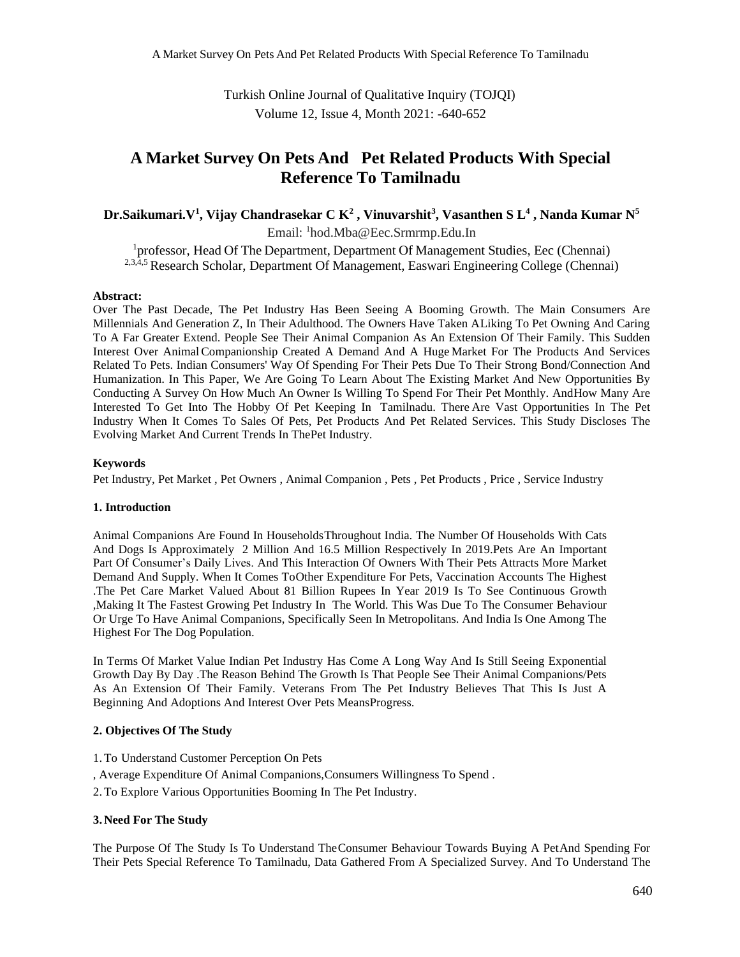Turkish Online Journal of Qualitative Inquiry (TOJQI) Volume 12, Issue 4, Month 2021: -640-652

## **A Market Survey On Pets And Pet Related Products With Special Reference To Tamilnadu**

**Dr.Saikumari.V<sup>1</sup> , Vijay Chandrasekar C K<sup>2</sup> , Vinuvarshit<sup>3</sup> , Vasanthen S L<sup>4</sup> , Nanda Kumar N<sup>5</sup>**

Email: <sup>1</sup>hod.Mba@Eec.Srmrmp.Edu.In

<sup>1</sup>professor, Head Of The Department, Department Of Management Studies, Eec (Chennai) <sup>2,3,4,5</sup> Research Scholar, Department Of Management, Easwari Engineering College (Chennai)

## **Abstract:**

Over The Past Decade, The Pet Industry Has Been Seeing A Booming Growth. The Main Consumers Are Millennials And Generation Z, In Their Adulthood. The Owners Have Taken ALiking To Pet Owning And Caring To A Far Greater Extend. People See Their Animal Companion As An Extension Of Their Family. This Sudden Interest Over AnimalCompanionship Created A Demand And A Huge Market For The Products And Services Related To Pets. Indian Consumers' Way Of Spending For Their Pets Due To Their Strong Bond/Connection And Humanization. In This Paper, We Are Going To Learn About The Existing Market And New Opportunities By Conducting A Survey On How Much An Owner Is Willing To Spend For Their Pet Monthly. AndHow Many Are Interested To Get Into The Hobby Of Pet Keeping In Tamilnadu. There Are Vast Opportunities In The Pet Industry When It Comes To Sales Of Pets, Pet Products And Pet Related Services. This Study Discloses The Evolving Market And Current Trends In ThePet Industry.

## **Keywords**

Pet Industry, Pet Market , Pet Owners , Animal Companion , Pets , Pet Products , Price , Service Industry

## **1. Introduction**

Animal Companions Are Found In HouseholdsThroughout India. The Number Of Households With Cats And Dogs Is Approximately 2 Million And 16.5 Million Respectively In 2019.Pets Are An Important Part Of Consumer's Daily Lives. And This Interaction Of Owners With Their Pets Attracts More Market Demand And Supply. When It Comes ToOther Expenditure For Pets, Vaccination Accounts The Highest .The Pet Care Market Valued About 81 Billion Rupees In Year 2019 Is To See Continuous Growth ,Making It The Fastest Growing Pet Industry In The World. This Was Due To The Consumer Behaviour Or Urge To Have Animal Companions, Specifically Seen In Metropolitans. And India Is One Among The Highest For The Dog Population.

In Terms Of Market Value Indian Pet Industry Has Come A Long Way And Is Still Seeing Exponential Growth Day By Day .The Reason Behind The Growth Is That People See Their Animal Companions/Pets As An Extension Of Their Family. Veterans From The Pet Industry Believes That This Is Just A Beginning And Adoptions And Interest Over Pets MeansProgress.

## **2. Objectives Of The Study**

- 1.To Understand Customer Perception On Pets
- , Average Expenditure Of Animal Companions,Consumers Willingness To Spend .
- 2.To Explore Various Opportunities Booming In The Pet Industry.

## **3. Need For The Study**

The Purpose Of The Study Is To Understand TheConsumer Behaviour Towards Buying A PetAnd Spending For Their Pets Special Reference To Tamilnadu, Data Gathered From A Specialized Survey. And To Understand The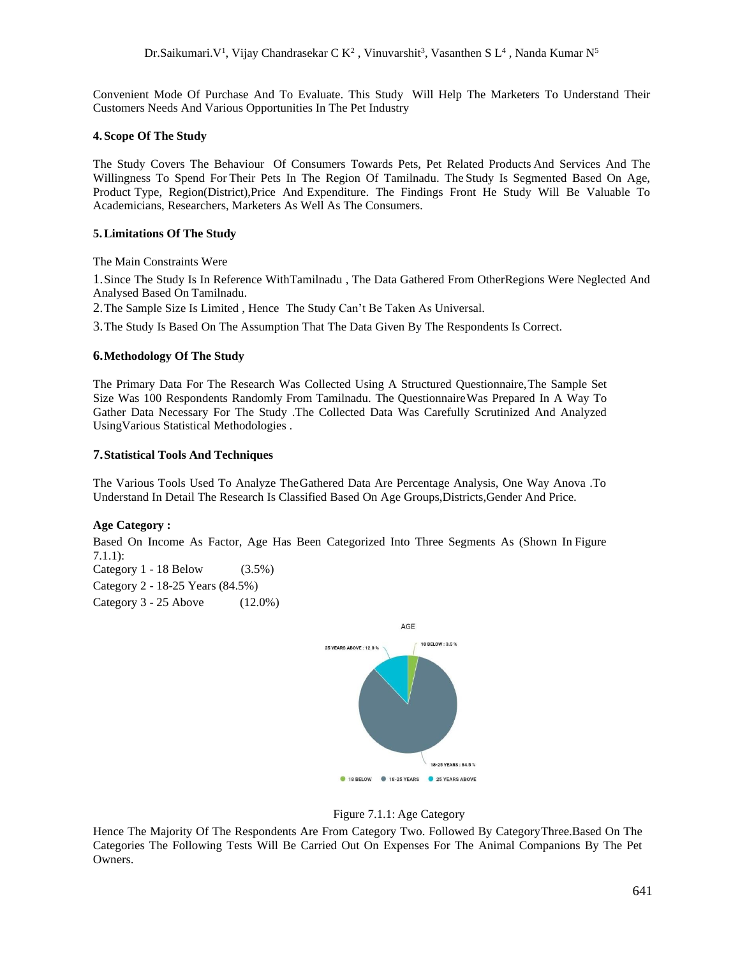Convenient Mode Of Purchase And To Evaluate. This Study Will Help The Marketers To Understand Their Customers Needs And Various Opportunities In The Pet Industry

#### **4. Scope Of The Study**

The Study Covers The Behaviour Of Consumers Towards Pets, Pet Related Products And Services And The Willingness To Spend For Their Pets In The Region Of Tamilnadu. The Study Is Segmented Based On Age, Product Type, Region(District),Price And Expenditure. The Findings Front He Study Will Be Valuable To Academicians, Researchers, Marketers As Well As The Consumers.

#### **5.Limitations Of The Study**

The Main Constraints Were

1.Since The Study Is In Reference WithTamilnadu , The Data Gathered From OtherRegions Were Neglected And Analysed Based On Tamilnadu.

2.The Sample Size Is Limited , Hence The Study Can't Be Taken As Universal.

3.The Study Is Based On The Assumption That The Data Given By The Respondents Is Correct.

#### **6.Methodology Of The Study**

The Primary Data For The Research Was Collected Using A Structured Questionnaire,The Sample Set Size Was 100 Respondents Randomly From Tamilnadu. The QuestionnaireWas Prepared In A Way To Gather Data Necessary For The Study .The Collected Data Was Carefully Scrutinized And Analyzed UsingVarious Statistical Methodologies .

#### **7.Statistical Tools And Techniques**

The Various Tools Used To Analyze TheGathered Data Are Percentage Analysis, One Way Anova .To Understand In Detail The Research Is Classified Based On Age Groups,Districts,Gender And Price.

## **Age Category :**

Based On Income As Factor, Age Has Been Categorized Into Three Segments As (Shown In Figure 7.1.1):

Category 1 - 18 Below (3.5%) Category 2 - 18-25 Years (84.5%) Category 3 - 25 Above (12.0%)





Hence The Majority Of The Respondents Are From Category Two. Followed By CategoryThree.Based On The Categories The Following Tests Will Be Carried Out On Expenses For The Animal Companions By The Pet Owners.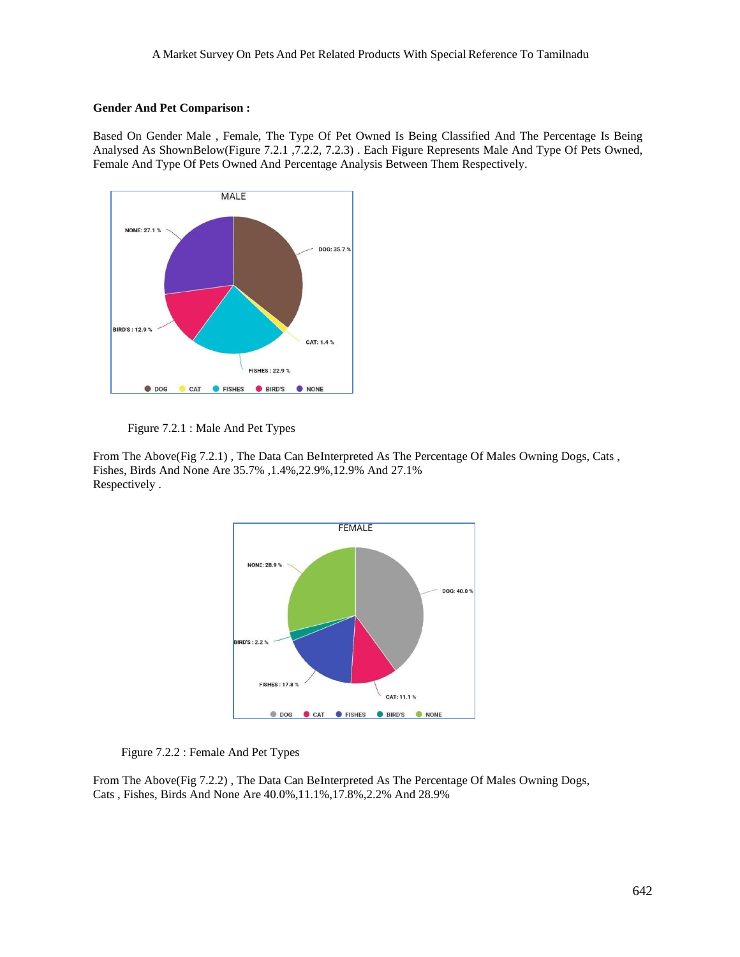## **Gender And Pet Comparison :**

Based On Gender Male , Female, The Type Of Pet Owned Is Being Classified And The Percentage Is Being Analysed As ShownBelow(Figure 7.2.1 ,7.2.2, 7.2.3) . Each Figure Represents Male And Type Of Pets Owned, Female And Type Of Pets Owned And Percentage Analysis Between Them Respectively.



Figure 7.2.1 : Male And Pet Types

From The Above(Fig 7.2.1) , The Data Can BeInterpreted As The Percentage Of Males Owning Dogs, Cats , Fishes, Birds And None Are 35.7% ,1.4%,22.9%,12.9% And 27.1% Respectively .



Figure 7.2.2 : Female And Pet Types

From The Above(Fig 7.2.2) , The Data Can BeInterpreted As The Percentage Of Males Owning Dogs, Cats , Fishes, Birds And None Are 40.0%,11.1%,17.8%,2.2% And 28.9%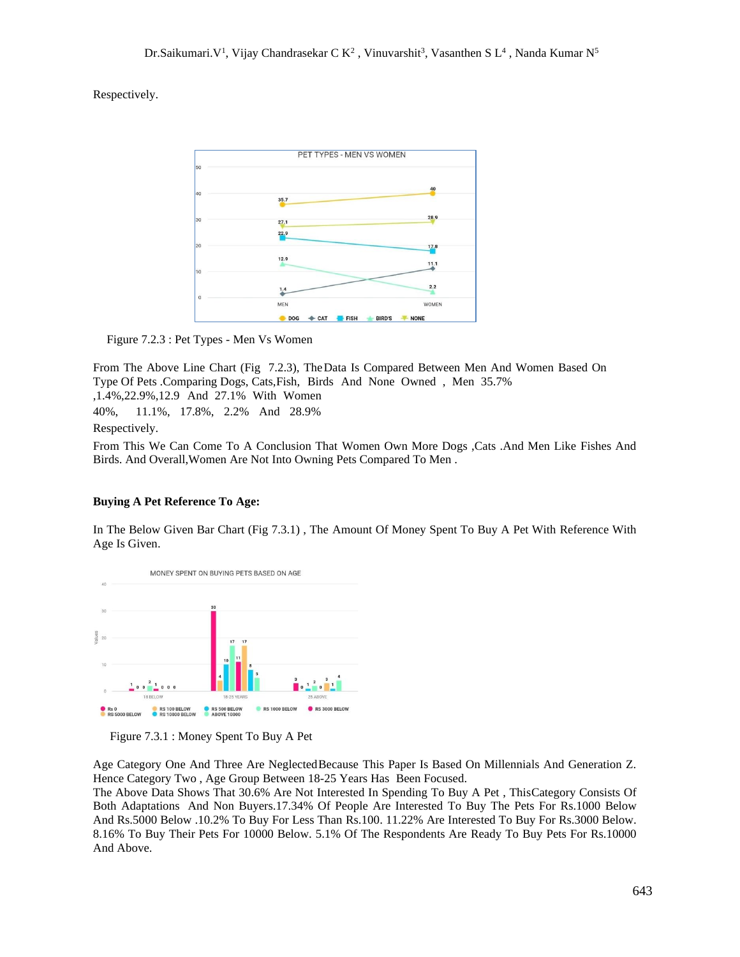Respectively.



Figure 7.2.3 : Pet Types - Men Vs Women

From The Above Line Chart (Fig 7.2.3), TheData Is Compared Between Men And Women Based On Type Of Pets .Comparing Dogs, Cats,Fish, Birds And None Owned , Men 35.7% ,1.4%,22.9%,12.9 And 27.1% With Women 40%, 11.1%, 17.8%, 2.2% And 28.9% Respectively.

From This We Can Come To A Conclusion That Women Own More Dogs ,Cats .And Men Like Fishes And Birds. And Overall,Women Are Not Into Owning Pets Compared To Men .

## **Buying A Pet Reference To Age:**

In The Below Given Bar Chart (Fig 7.3.1) , The Amount Of Money Spent To Buy A Pet With Reference With Age Is Given.



Figure 7.3.1 : Money Spent To Buy A Pet

Age Category One And Three Are NeglectedBecause This Paper Is Based On Millennials And Generation Z. Hence Category Two , Age Group Between 18-25 Years Has Been Focused.

The Above Data Shows That 30.6% Are Not Interested In Spending To Buy A Pet , ThisCategory Consists Of Both Adaptations And Non Buyers.17.34% Of People Are Interested To Buy The Pets For Rs.1000 Below And Rs.5000 Below .10.2% To Buy For Less Than Rs.100. 11.22% Are Interested To Buy For Rs.3000 Below. 8.16% To Buy Their Pets For 10000 Below. 5.1% Of The Respondents Are Ready To Buy Pets For Rs.10000 And Above.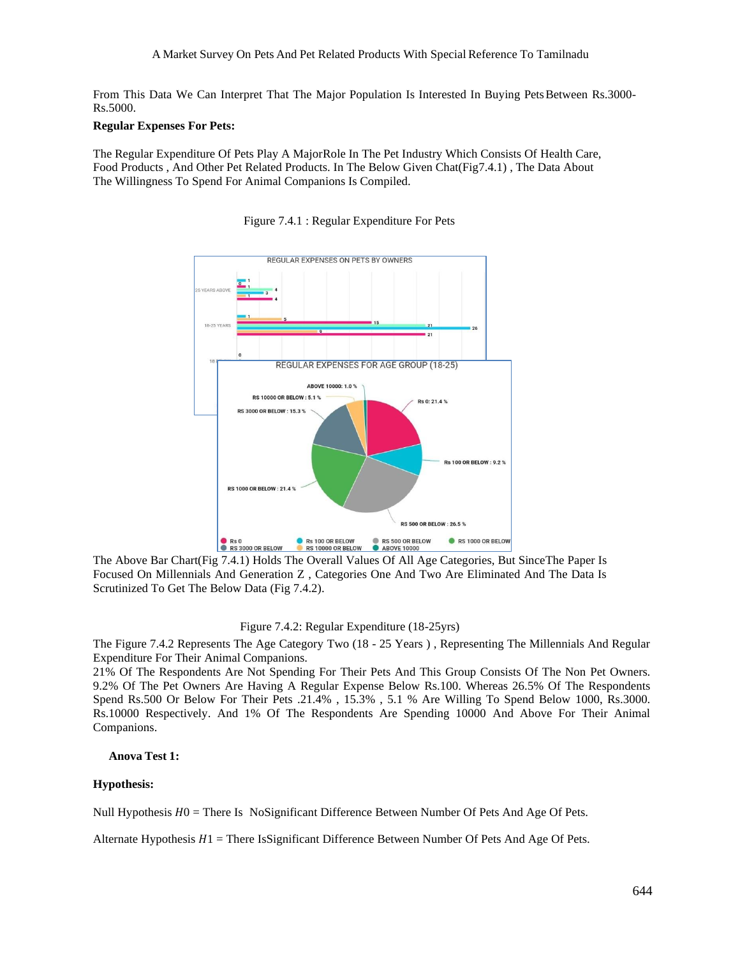From This Data We Can Interpret That The Major Population Is Interested In Buying Pets Between Rs.3000-Rs.5000.

### **Regular Expenses For Pets:**

The Regular Expenditure Of Pets Play A MajorRole In The Pet Industry Which Consists Of Health Care, Food Products , And Other Pet Related Products. In The Below Given Chat(Fig7.4.1) , The Data About The Willingness To Spend For Animal Companions Is Compiled.



Figure 7.4.1 : Regular Expenditure For Pets

The Above Bar Chart(Fig 7.4.1) Holds The Overall Values Of All Age Categories, But SinceThe Paper Is Focused On Millennials And Generation Z , Categories One And Two Are Eliminated And The Data Is Scrutinized To Get The Below Data (Fig 7.4.2).

### Figure 7.4.2: Regular Expenditure (18-25yrs)

The Figure 7.4.2 Represents The Age Category Two (18 - 25 Years ) , Representing The Millennials And Regular Expenditure For Their Animal Companions.

21% Of The Respondents Are Not Spending For Their Pets And This Group Consists Of The Non Pet Owners. 9.2% Of The Pet Owners Are Having A Regular Expense Below Rs.100. Whereas 26.5% Of The Respondents Spend Rs.500 Or Below For Their Pets .21.4% , 15.3% , 5.1 % Are Willing To Spend Below 1000, Rs.3000. Rs.10000 Respectively. And 1% Of The Respondents Are Spending 10000 And Above For Their Animal Companions.

#### **Anova Test 1:**

#### **Hypothesis:**

Null Hypothesis  $H_0$  = There Is NoSignificant Difference Between Number Of Pets And Age Of Pets.

Alternate Hypothesis  $H_1$  = There IsSignificant Difference Between Number Of Pets And Age Of Pets.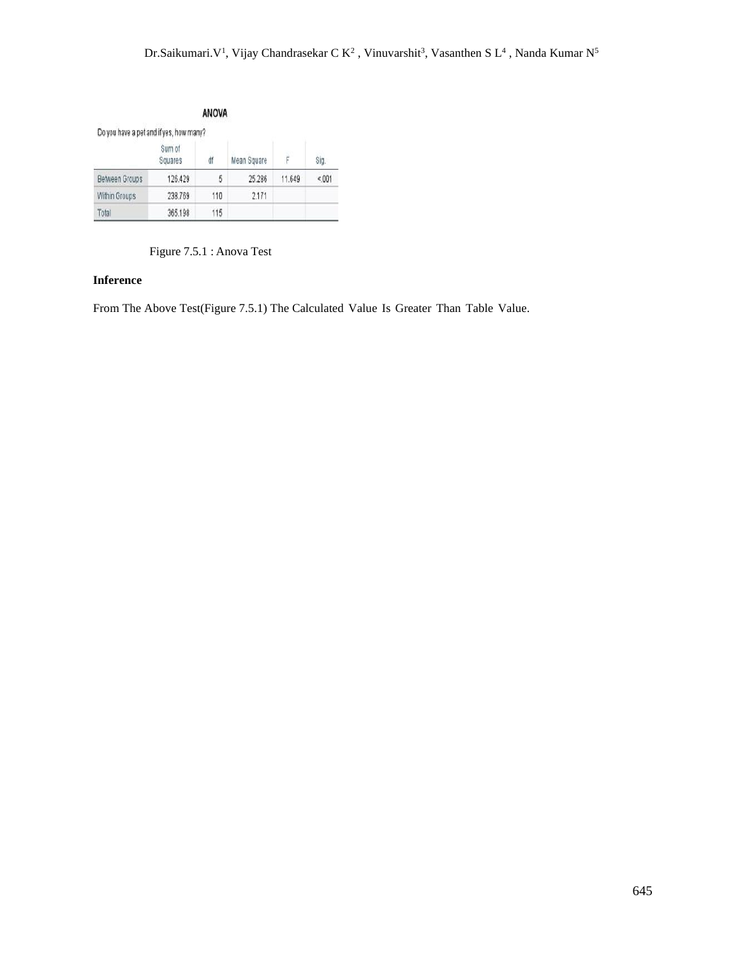|                                         |                   | <b>ANOVA</b> |             |        |      |
|-----------------------------------------|-------------------|--------------|-------------|--------|------|
| Do you have a pet and if yes, how many? |                   |              |             |        |      |
|                                         | Sum of<br>Squares | ďf           | Mean Square |        | Sig. |
| <b>Between Groups</b>                   | 126.429           | 5            | 25.286      | 11.649 | 001  |
| Within Groups                           | 238.769           | 110          | 2.171       |        |      |
| Total                                   | 365.198           | 115          |             |        |      |

Figure 7.5.1 : Anova Test

## **Inference**

From The Above Test(Figure 7.5.1) The Calculated Value Is Greater Than Table Value.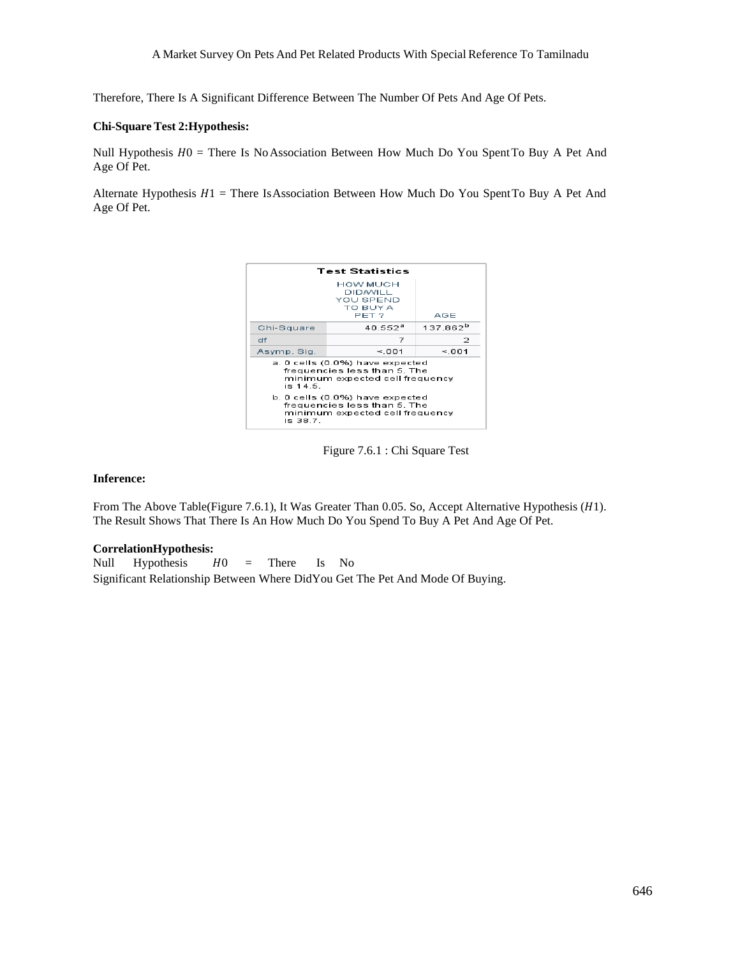Therefore, There Is A Significant Difference Between The Number Of Pets And Age Of Pets.

#### **Chi-Square Test 2:Hypothesis:**

Null Hypothesis  $H0 =$  There Is No Association Between How Much Do You Spent To Buy A Pet And Age Of Pet.

Alternate Hypothesis  $H1$  = There Is Association Between How Much Do You Spent To Buy A Pet And Age Of Pet.



Figure 7.6.1 : Chi Square Test

#### **Inference:**

From The Above Table(Figure 7.6.1), It Was Greater Than 0.05. So, Accept Alternative Hypothesis (H1). The Result Shows That There Is An How Much Do You Spend To Buy A Pet And Age Of Pet.

#### **CorrelationHypothesis:**

Null Hypothesis  $H0 =$  There Is No Significant Relationship Between Where DidYou Get The Pet And Mode Of Buying.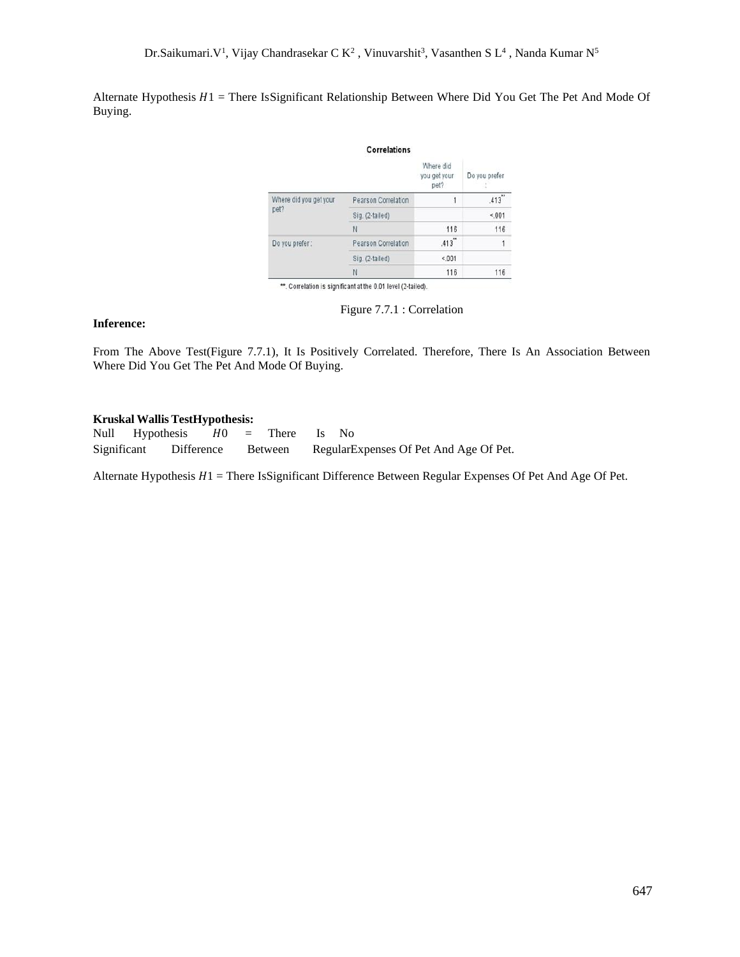Alternate Hypothesis  $H1$  = There IsSignificant Relationship Between Where Did You Get The Pet And Mode Of Buying.

|                                | <b>Correlations</b> |                                   |               |
|--------------------------------|---------------------|-----------------------------------|---------------|
|                                |                     | Where did<br>you get your<br>pet? | Do you prefer |
| Where did you get your<br>pet? | Pearson Correlation | 1                                 | .413          |
|                                | Sig. (2-tailed)     |                                   | $15 - 001$    |
|                                | N                   | 116                               | 116           |
| Do you prefer:                 | Pearson Correlation | .413                              | 1             |
|                                | Sig. (2-tailed)     | 001                               |               |
|                                | N                   | 116                               | 116           |

Figure 7.7.1 : Correlation

#### **Inference:**

From The Above Test(Figure 7.7.1), It Is Positively Correlated. Therefore, There Is An Association Between Where Did You Get The Pet And Mode Of Buying.

#### **Kruskal Wallis TestHypothesis:**

Null Hypothesis  $H0 =$  There Is No Significant Difference Between RegularExpenses Of Pet And Age Of Pet.

Alternate Hypothesis  $H1$  = There IsSignificant Difference Between Regular Expenses Of Pet And Age Of Pet.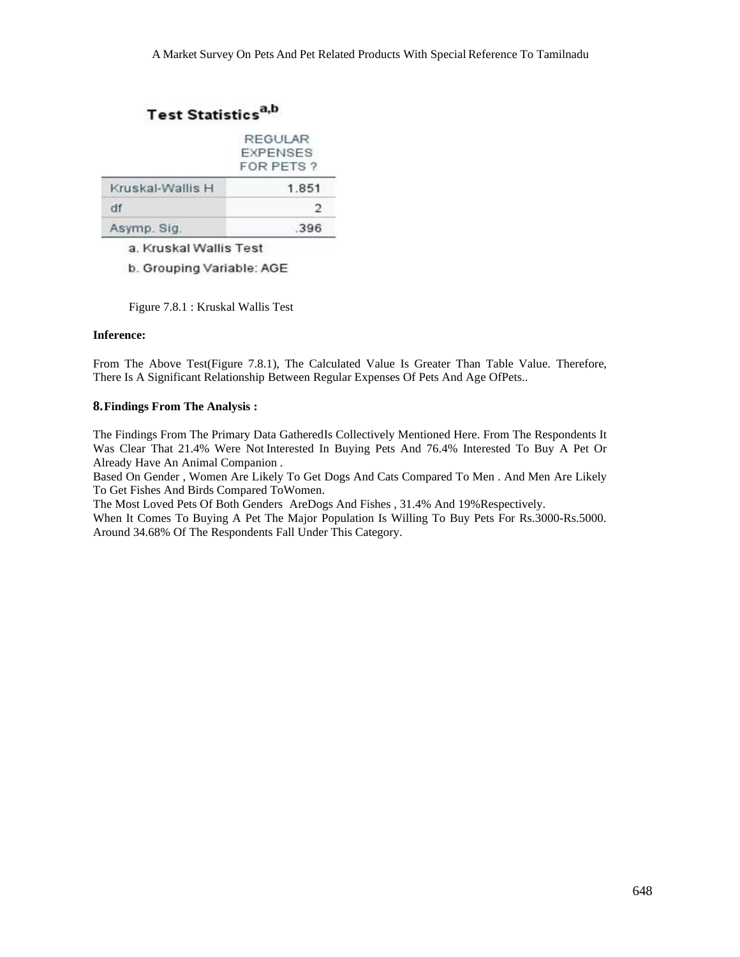# Test Statistics<sup>a,b</sup>

|                  | REGULAR<br><b>EXPENSES</b><br>FOR PETS? |  |  |
|------------------|-----------------------------------------|--|--|
| Kruskal-Wallis H | 1.851                                   |  |  |
| df               | 2                                       |  |  |
| Asymp. Sig.      | 396                                     |  |  |

a. Kruskal Wallis Test

b. Grouping Variable: AGE

Figure 7.8.1 : Kruskal Wallis Test

#### **Inference:**

From The Above Test(Figure 7.8.1), The Calculated Value Is Greater Than Table Value. Therefore, There Is A Significant Relationship Between Regular Expenses Of Pets And Age OfPets..

#### **8.Findings From The Analysis :**

The Findings From The Primary Data GatheredIs Collectively Mentioned Here. From The Respondents It Was Clear That 21.4% Were Not Interested In Buying Pets And 76.4% Interested To Buy A Pet Or Already Have An Animal Companion .

Based On Gender , Women Are Likely To Get Dogs And Cats Compared To Men . And Men Are Likely To Get Fishes And Birds Compared ToWomen.

The Most Loved Pets Of Both Genders AreDogs And Fishes , 31.4% And 19%Respectively.

When It Comes To Buying A Pet The Major Population Is Willing To Buy Pets For Rs.3000-Rs.5000. Around 34.68% Of The Respondents Fall Under This Category.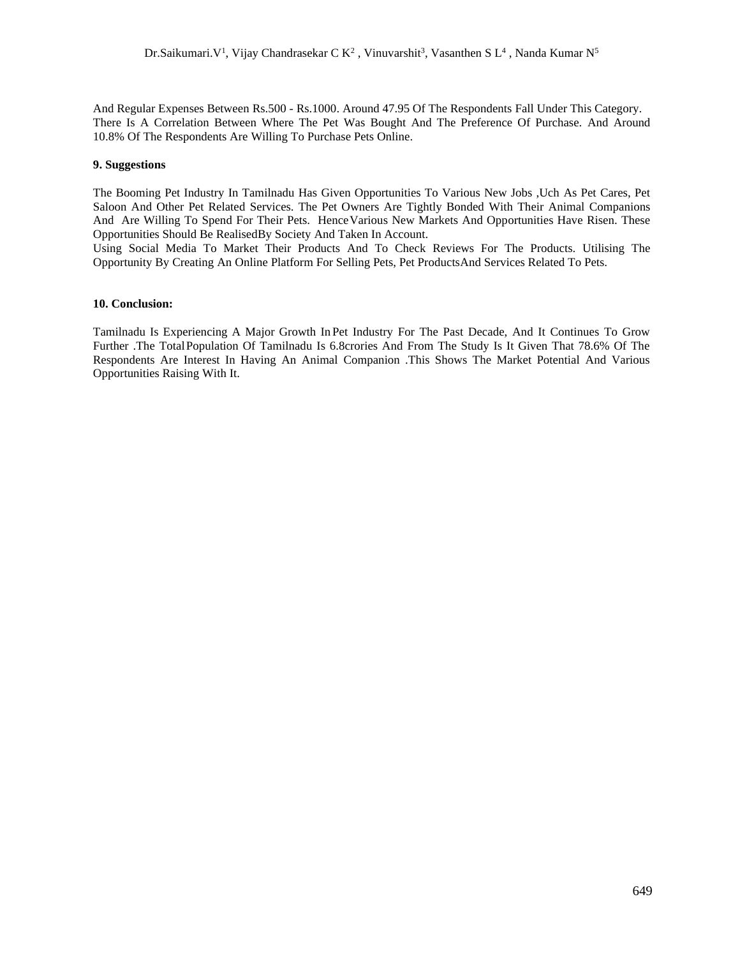And Regular Expenses Between Rs.500 - Rs.1000. Around 47.95 Of The Respondents Fall Under This Category. There Is A Correlation Between Where The Pet Was Bought And The Preference Of Purchase. And Around 10.8% Of The Respondents Are Willing To Purchase Pets Online.

#### **9. Suggestions**

The Booming Pet Industry In Tamilnadu Has Given Opportunities To Various New Jobs ,Uch As Pet Cares, Pet Saloon And Other Pet Related Services. The Pet Owners Are Tightly Bonded With Their Animal Companions And Are Willing To Spend For Their Pets. HenceVarious New Markets And Opportunities Have Risen. These Opportunities Should Be RealisedBy Society And Taken In Account.

Using Social Media To Market Their Products And To Check Reviews For The Products. Utilising The Opportunity By Creating An Online Platform For Selling Pets, Pet ProductsAnd Services Related To Pets.

#### **10. Conclusion:**

Tamilnadu Is Experiencing A Major Growth In Pet Industry For The Past Decade, And It Continues To Grow Further .The TotalPopulation Of Tamilnadu Is 6.8crories And From The Study Is It Given That 78.6% Of The Respondents Are Interest In Having An Animal Companion .This Shows The Market Potential And Various Opportunities Raising With It.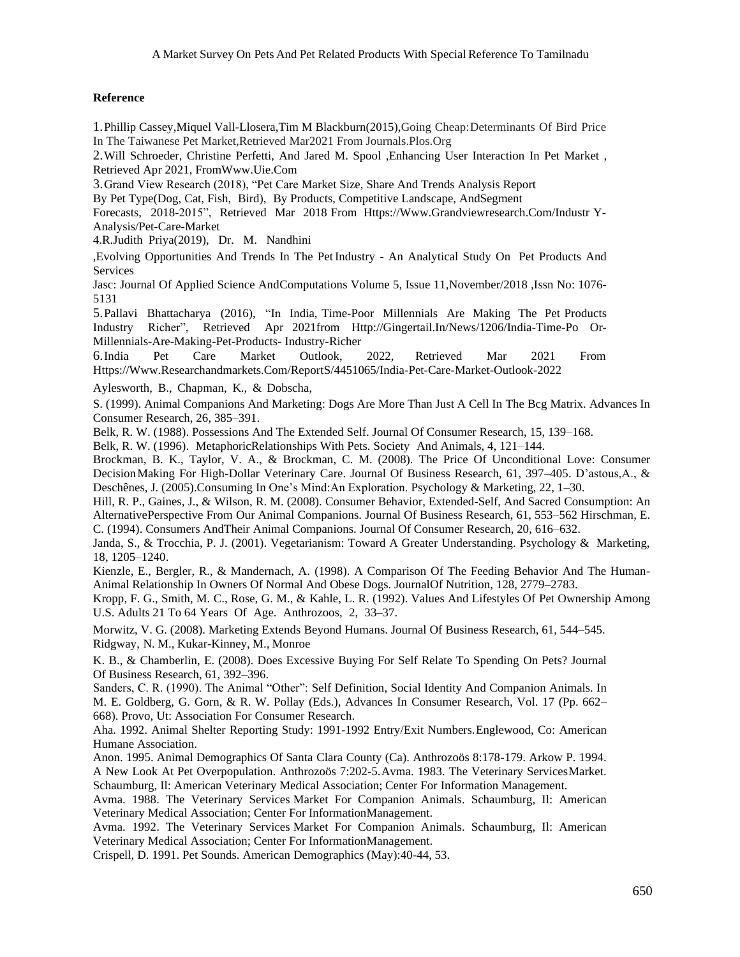## **Reference**

1.Phillip Cassey,Miquel Vall-Llosera,Tim M Blackburn(2015),Going Cheap:Determinants Of Bird Price In The Taiwanese Pet Market,Retrieved Mar2021 From Journals.Plos.Org

2.Will Schroeder, Christine Perfetti, And Jared M. Spool ,Enhancing User Interaction In Pet Market , Retrieved Apr 2021, Fro[mWww.Uie.Com](http://www.uie.com/)

3.Grand View Research (2018), "Pet Care Market Size, Share And Trends Analysis Report

By Pet Type(Dog, Cat, Fish, Bird), By Products, Competitive Landscape, AndSegment

Forecasts, 2018-2015", Retrieved Mar 2018 From [Https://Www.Grandviewresearch.Com/Industr](http://www.grandviewresearch.com/industr) Y-Analysis/Pet-Care-Market

4.R.Judith Priya(2019), Dr. M. Nandhini

,Evolving Opportunities And Trends In The PetIndustry - An Analytical Study On Pet Products And Services

Jasc: Journal Of Applied Science AndComputations Volume 5, Issue 11,November/2018 ,Issn No: 1076- 5131

5.Pallavi Bhattacharya (2016), "In India, Time-Poor Millennials Are Making The Pet Products Industry Richer", Retrieved Apr 2021from [Http://Gingertail.In/News/1206/India-Time-Po](http://gingertail.in/news/1206/india-time-po) Or-Millennials-Are-Making-Pet-Products- Industry-Richer

6.India Pet Care Market Outlook, 2022, Retrieved Mar 2021 From [Https://Www.Researchandmarkets.Com/ReportS](http://www.researchandmarkets.com/report)/4451065/India-Pet-Care-Market-Outlook-2022

Aylesworth, B., Chapman, K., & Dobscha,

S. (1999). Animal Companions And Marketing: Dogs Are More Than Just A Cell In The Bcg Matrix. Advances In Consumer Research, 26, 385–391.

Belk, R. W. (1988). Possessions And The Extended Self. Journal Of Consumer Research, 15, 139–168.

Belk, R. W. (1996). MetaphoricRelationships With Pets. Society And Animals, 4, 121–144.

Brockman, B. K., Taylor, V. A., & Brockman, C. M. (2008). The Price Of Unconditional Love: Consumer DecisionMaking For High-Dollar Veterinary Care. Journal Of Business Research, 61, 397–405. D'astous,A., & Deschênes, J. (2005).Consuming In One's Mind:An Exploration. Psychology & Marketing, 22, 1–30.

Hill, R. P., Gaines, J., & Wilson, R. M. (2008). Consumer Behavior, Extended-Self, And Sacred Consumption: An AlternativePerspective From Our Animal Companions. Journal Of Business Research, 61, 553–562 Hirschman, E. C. (1994). Consumers AndTheir Animal Companions. Journal Of Consumer Research, 20, 616–632.

Janda, S., & Trocchia, P. J. (2001). Vegetarianism: Toward A Greater Understanding. Psychology & Marketing, 18, 1205–1240.

Kienzle, E., Bergler, R., & Mandernach, A. (1998). A Comparison Of The Feeding Behavior And The Human-Animal Relationship In Owners Of Normal And Obese Dogs. JournalOf Nutrition, 128, 2779–2783.

Kropp, F. G., Smith, M. C., Rose, G. M., & Kahle, L. R. (1992). Values And Lifestyles Of Pet Ownership Among U.S. Adults 21 To 64 Years Of Age. Anthrozoos, 2, 33–37.

Morwitz, V. G. (2008). Marketing Extends Beyond Humans. Journal Of Business Research, 61, 544–545. Ridgway, N. M., Kukar-Kinney, M., Monroe

K. B., & Chamberlin, E. (2008). Does Excessive Buying For Self Relate To Spending On Pets? Journal Of Business Research, 61, 392–396.

Sanders, C. R. (1990). The Animal "Other": Self Definition, Social Identity And Companion Animals. In M. E. Goldberg, G. Gorn, & R. W. Pollay (Eds.), Advances In Consumer Research, Vol. 17 (Pp. 662– 668). Provo, Ut: Association For Consumer Research.

Aha. 1992. Animal Shelter Reporting Study: 1991-1992 Entry/Exit Numbers.Englewood, Co: American Humane Association.

Anon. 1995. Animal Demographics Of Santa Clara County (Ca). Anthrozoös 8:178-179. Arkow P. 1994. A New Look At Pet Overpopulation. Anthrozoös 7:202-5.Avma. 1983. The Veterinary ServicesMarket. Schaumburg, Il: American Veterinary Medical Association; Center For Information Management.

Avma. 1988. The Veterinary Services Market For Companion Animals. Schaumburg, Il: American Veterinary Medical Association; Center For InformationManagement.

Avma. 1992. The Veterinary Services Market For Companion Animals. Schaumburg, Il: American Veterinary Medical Association; Center For InformationManagement.

Crispell, D. 1991. Pet Sounds. American Demographics (May):40-44, 53.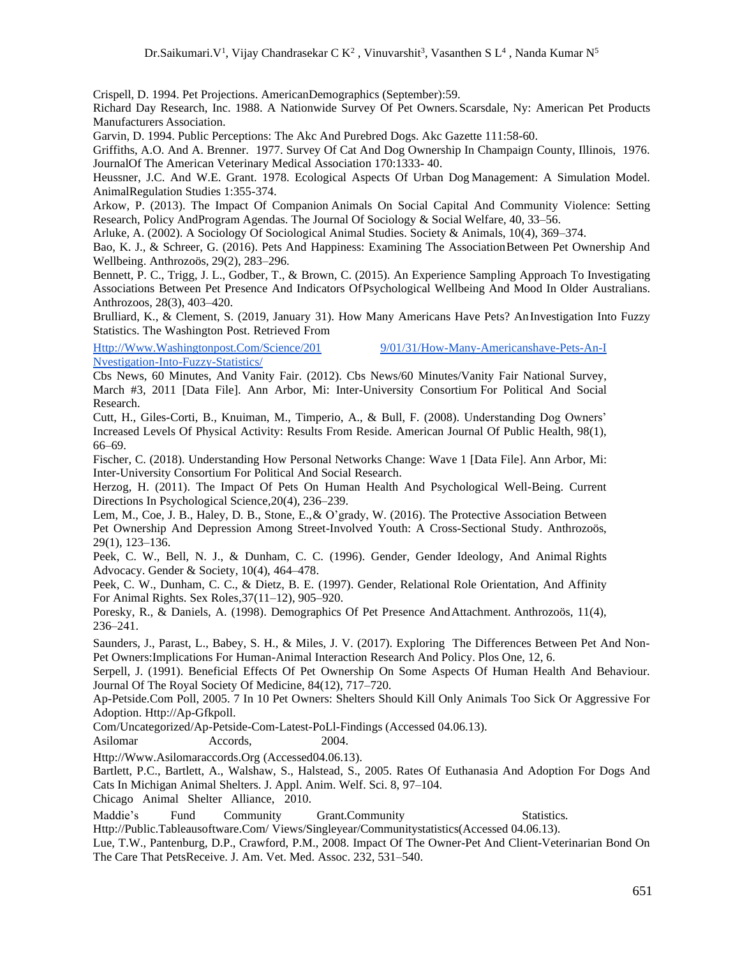Crispell, D. 1994. Pet Projections. AmericanDemographics (September):59.

Richard Day Research, Inc. 1988. A Nationwide Survey Of Pet Owners.Scarsdale, Ny: American Pet Products Manufacturers Association.

Garvin, D. 1994. Public Perceptions: The Akc And Purebred Dogs. Akc Gazette 111:58-60.

Griffiths, A.O. And A. Brenner. 1977. Survey Of Cat And Dog Ownership In Champaign County, Illinois, 1976. JournalOf The American Veterinary Medical Association 170:1333- 40.

Heussner, J.C. And W.E. Grant. 1978. Ecological Aspects Of Urban Dog Management: A Simulation Model. AnimalRegulation Studies 1:355-374.

Arkow, P. (2013). The Impact Of Companion Animals On Social Capital And Community Violence: Setting Research, Policy AndProgram Agendas. The Journal Of Sociology & Social Welfare, 40, 33–56.

Arluke, A. (2002). A Sociology Of Sociological Animal Studies. Society & Animals, 10(4), 369–374.

Bao, K. J., & Schreer, G. (2016). Pets And Happiness: Examining The Association Between Pet Ownership And Wellbeing. Anthrozoös, 29(2), 283–296.

Bennett, P. C., Trigg, J. L., Godber, T., & Brown, C. (2015). An Experience Sampling Approach To Investigating Associations Between Pet Presence And Indicators OfPsychological Wellbeing And Mood In Older Australians. Anthrozoos, 28(3), 403–420.

Brulliard, K., & Clement, S. (2019, January 31). How Many Americans Have Pets? AnInvestigation Into Fuzzy Statistics. The Washington Post. Retrieved From

[Http://Www.Washingtonpost.Com/Science/201](http://www.washingtonpost.com/science/2019/01/31/how-many-americanshave-pets-an-investigation-into-fuzzy-statistics/) [9/01/31/How-Many-Americanshave-Pets-An-I](http://www.washingtonpost.com/science/2019/01/31/how-many-americanshave-pets-an-investigation-into-fuzzy-statistics/) [Nvestigation-Into-Fuzzy-Statistics/](http://www.washingtonpost.com/science/2019/01/31/how-many-americanshave-pets-an-investigation-into-fuzzy-statistics/)

Cbs News, 60 Minutes, And Vanity Fair. (2012). Cbs News/60 Minutes/Vanity Fair National Survey, March #3, 2011 [Data File]. Ann Arbor, Mi: Inter-University Consortium For Political And Social Research.

Cutt, H., Giles-Corti, B., Knuiman, M., Timperio, A., & Bull, F. (2008). Understanding Dog Owners' Increased Levels Of Physical Activity: Results From Reside. American Journal Of Public Health, 98(1), 66–69.

Fischer, C. (2018). Understanding How Personal Networks Change: Wave 1 [Data File]. Ann Arbor, Mi: Inter-University Consortium For Political And Social Research.

Herzog, H. (2011). The Impact Of Pets On Human Health And Psychological Well-Being. Current Directions In Psychological Science,20(4), 236–239.

Lem, M., Coe, J. B., Haley, D. B., Stone, E.,& O'grady, W. (2016). The Protective Association Between Pet Ownership And Depression Among Street-Involved Youth: A Cross-Sectional Study. Anthrozoös, 29(1), 123–136.

Peek, C. W., Bell, N. J., & Dunham, C. C. (1996). Gender, Gender Ideology, And Animal Rights Advocacy. Gender & Society, 10(4), 464–478.

Peek, C. W., Dunham, C. C., & Dietz, B. E. (1997). Gender, Relational Role Orientation, And Affinity For Animal Rights. Sex Roles,37(11–12), 905–920.

Poresky, R., & Daniels, A. (1998). Demographics Of Pet Presence AndAttachment. Anthrozoös, 11(4), 236–241.

Saunders, J., Parast, L., Babey, S. H., & Miles, J. V. (2017). Exploring The Differences Between Pet And Non-Pet Owners:Implications For Human-Animal Interaction Research And Policy. Plos One, 12, 6.

Serpell, J. (1991). Beneficial Effects Of Pet Ownership On Some Aspects Of Human Health And Behaviour. Journal Of The Royal Society Of Medicine, 84(12), 717–720.

Ap-Petside.Com Poll, 2005. 7 In 10 Pet Owners: Shelters Should Kill Only Animals Too Sick Or Aggressive For Adoption. [Http://Ap-Gfkpoll.](http://ap-gfkpoll/)

Com/Uncategorized/Ap-Petside-Com-Latest-PoLl-Findings (Accessed 04.06.13).

Asilomar Accords. 2004.

[Http://Www.Asilomaraccords.Org](http://www.asilomaraccords.org/) (Accessed04.06.13).

Bartlett, P.C., Bartlett, A., Walshaw, S., Halstead, S., 2005. Rates Of Euthanasia And Adoption For Dogs And Cats In Michigan Animal Shelters. J. Appl. Anim. Welf. Sci. 8, 97–104.

Chicago Animal Shelter Alliance, 2010.

Maddie's Fund Community Grant.Community Statistics.

[Http://Public.Tableausoftware.Com/](http://public.tableausoftware.com/) Views/Singleyear/Communitystatistics(Accessed 04.06.13).

Lue, T.W., Pantenburg, D.P., Crawford, P.M., 2008. Impact Of The Owner-Pet And Client-Veterinarian Bond On The Care That PetsReceive. J. Am. Vet. Med. Assoc. 232, 531–540.